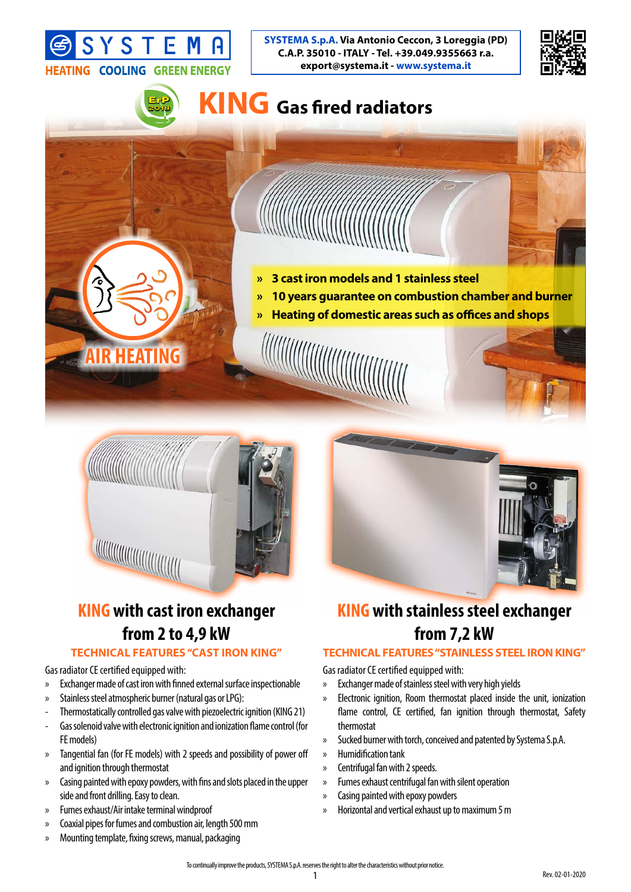



### **ErP 2018**

# **KING Gas fired radiators**

- 
- **» 3 cast iron models and 1 stainless steel**

- **» 10 years guarantee on combustion chamber and burner**
- **» Heating of domestic areas such as offices and shops**





### **KING with cast iron exchanger from 2 to 4,9 kW**

#### **TECHNICAL FEATURES "CAST IRON KING"**

Gas radiator CE certified equipped with:

- » Exchanger made of cast iron with finned external surface inspectionable
- » Stainless steel atmospheric burner (natural gas or LPG):

**R HEATING** 

- Thermostatically controlled gas valve with piezoelectric ignition (KING 21)
- Gas solenoid valve with electronic ignition and ionization flame control (for FE models)
- » Tangential fan (for FE models) with 2 speeds and possibility of power off and ignition through thermostat
- » Casing painted with epoxy powders, with fins and slots placed in the upper side and front drilling. Easy to clean.
- » Fumes exhaust/Air intake terminal windproof
- » Coaxial pipes for fumes and combustion air, length 500 mm
- » Mounting template, fixing screws, manual, packaging

## **KING with stainless steel exchanger from 7,2 kW**

#### **TECHNICAL FEATURES "STAINLESS STEEL IRON KING"**

Gas radiator CE certified equipped with:

- » Exchanger made of stainless steel with very high yields
- » Electronic ignition, Room thermostat placed inside the unit, ionization flame control, CE certified, fan ignition through thermostat, Safety thermostat
- » Sucked burner with torch, conceived and patented by Systema S.p.A.
- » Humidification tank
- » Centrifugal fan with 2 speeds.
- » Fumes exhaust centrifugal fan with silent operation
- » Casing painted with epoxy powders
- » Horizontal and vertical exhaust up to maximum 5 m